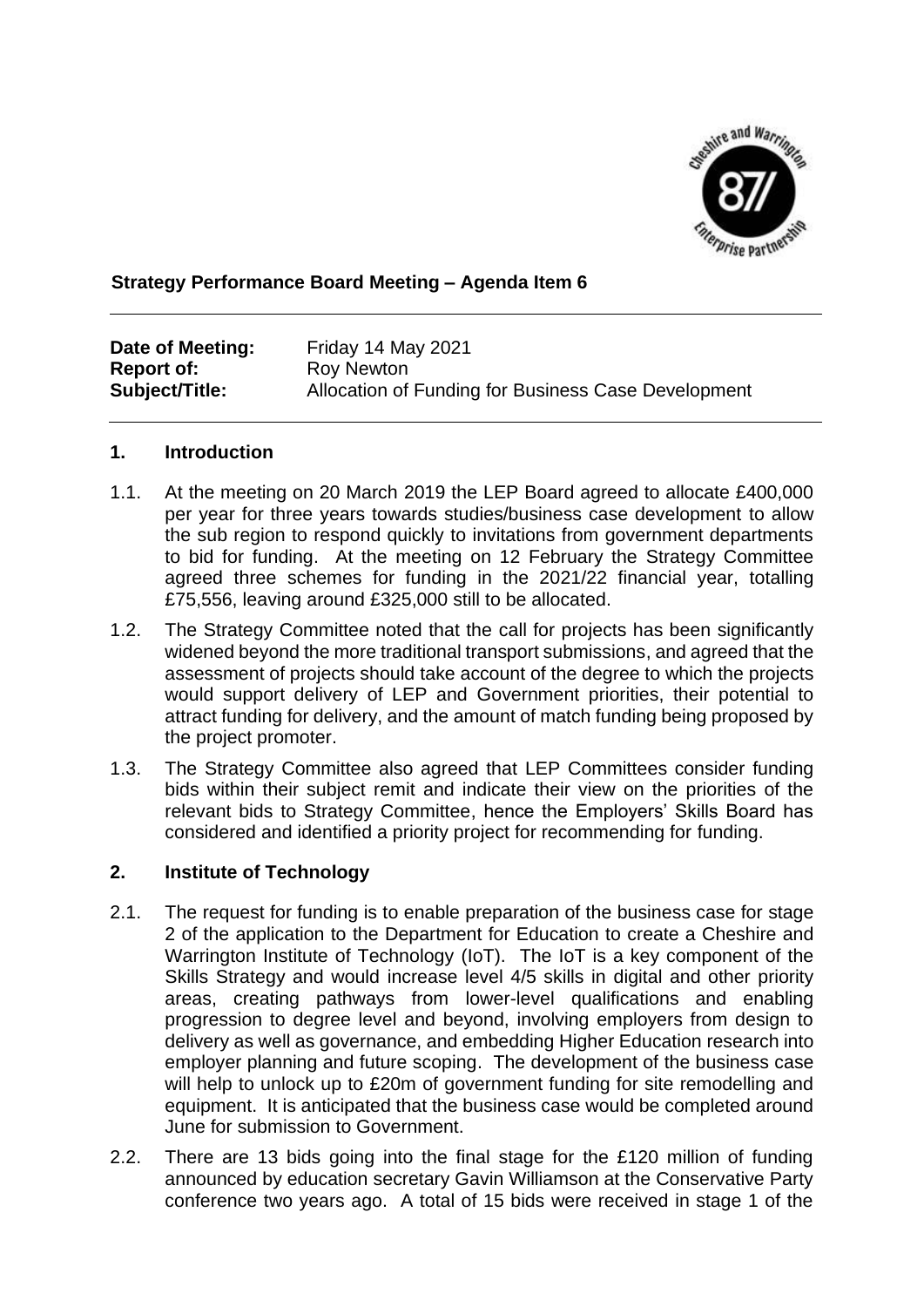

# **Strategy Performance Board Meeting – Agenda Item 6**

| Date of Meeting:  | Friday 14 May 2021                                  |
|-------------------|-----------------------------------------------------|
| <b>Report of:</b> | Roy Newton                                          |
| Subject/Title:    | Allocation of Funding for Business Case Development |

### **1. Introduction**

- 1.1. At the meeting on 20 March 2019 the LEP Board agreed to allocate £400,000 per year for three years towards studies/business case development to allow the sub region to respond quickly to invitations from government departments to bid for funding. At the meeting on 12 February the Strategy Committee agreed three schemes for funding in the 2021/22 financial year, totalling £75,556, leaving around £325,000 still to be allocated.
- 1.2. The Strategy Committee noted that the call for projects has been significantly widened beyond the more traditional transport submissions, and agreed that the assessment of projects should take account of the degree to which the projects would support delivery of LEP and Government priorities, their potential to attract funding for delivery, and the amount of match funding being proposed by the project promoter.
- 1.3. The Strategy Committee also agreed that LEP Committees consider funding bids within their subject remit and indicate their view on the priorities of the relevant bids to Strategy Committee, hence the Employers' Skills Board has considered and identified a priority project for recommending for funding.

## **2. Institute of Technology**

- 2.1. The request for funding is to enable preparation of the business case for stage 2 of the application to the Department for Education to create a Cheshire and Warrington Institute of Technology (IoT). The IoT is a key component of the Skills Strategy and would increase level 4/5 skills in digital and other priority areas, creating pathways from lower-level qualifications and enabling progression to degree level and beyond, involving employers from design to delivery as well as governance, and embedding Higher Education research into employer planning and future scoping. The development of the business case will help to unlock up to £20m of government funding for site remodelling and equipment. It is anticipated that the business case would be completed around June for submission to Government.
- 2.2. There are 13 bids going into the final stage for the £120 million of funding announced by education secretary Gavin Williamson at the Conservative Party conference two years ago. A total of 15 bids were received in stage 1 of the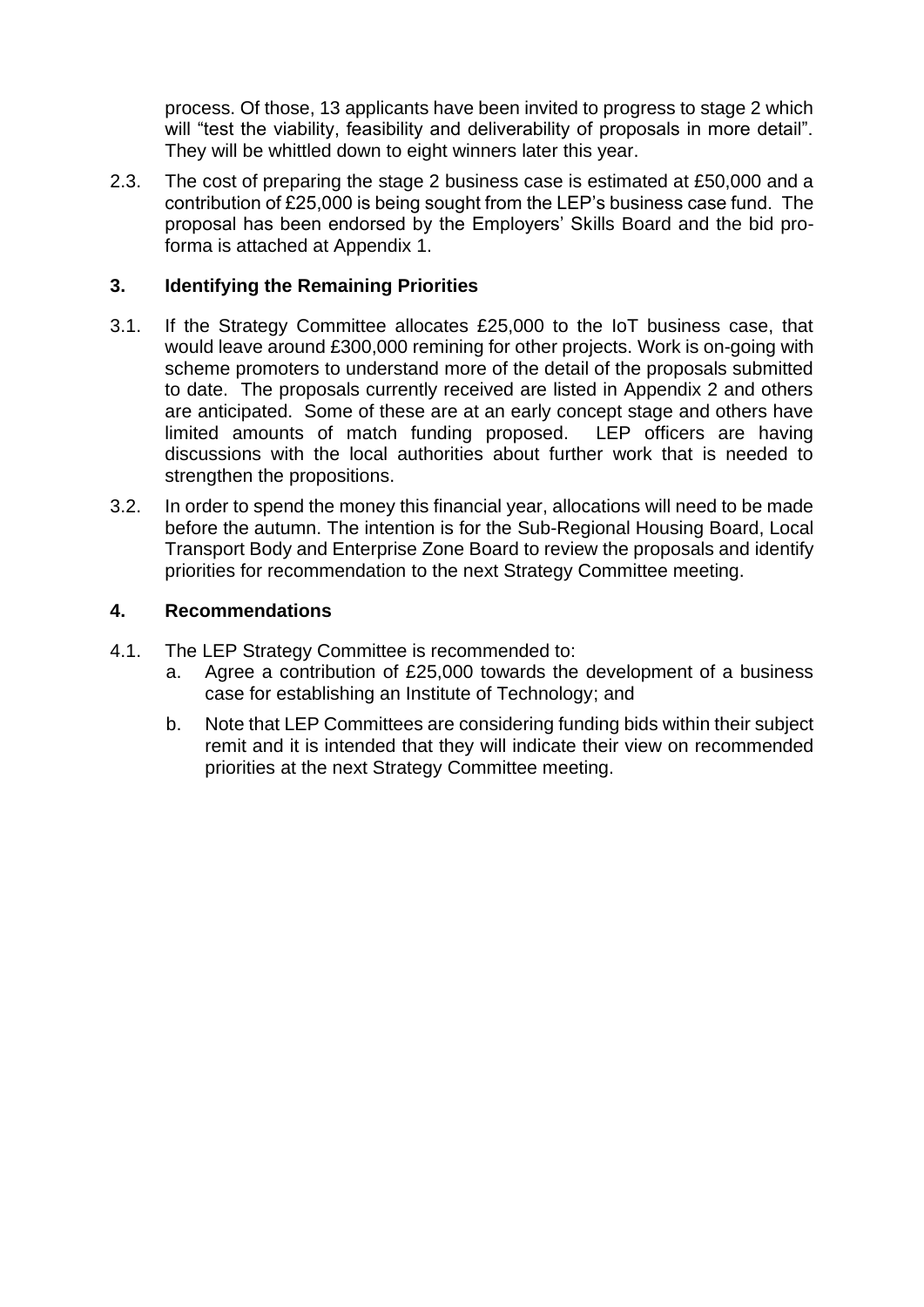process. Of those, 13 applicants have been invited to progress to stage 2 which will "test the viability, feasibility and deliverability of proposals in more detail". They will be whittled down to eight winners later this year.

2.3. The cost of preparing the stage 2 business case is estimated at £50,000 and a contribution of £25,000 is being sought from the LEP's business case fund. The proposal has been endorsed by the Employers' Skills Board and the bid proforma is attached at Appendix 1.

# **3. Identifying the Remaining Priorities**

- 3.1. If the Strategy Committee allocates £25,000 to the IoT business case, that would leave around £300,000 remining for other projects. Work is on-going with scheme promoters to understand more of the detail of the proposals submitted to date. The proposals currently received are listed in Appendix 2 and others are anticipated. Some of these are at an early concept stage and others have limited amounts of match funding proposed. LEP officers are having discussions with the local authorities about further work that is needed to strengthen the propositions.
- 3.2. In order to spend the money this financial year, allocations will need to be made before the autumn. The intention is for the Sub-Regional Housing Board, Local Transport Body and Enterprise Zone Board to review the proposals and identify priorities for recommendation to the next Strategy Committee meeting.

# **4. Recommendations**

- 4.1. The LEP Strategy Committee is recommended to:
	- a. Agree a contribution of £25,000 towards the development of a business case for establishing an Institute of Technology; and
	- b. Note that LEP Committees are considering funding bids within their subject remit and it is intended that they will indicate their view on recommended priorities at the next Strategy Committee meeting.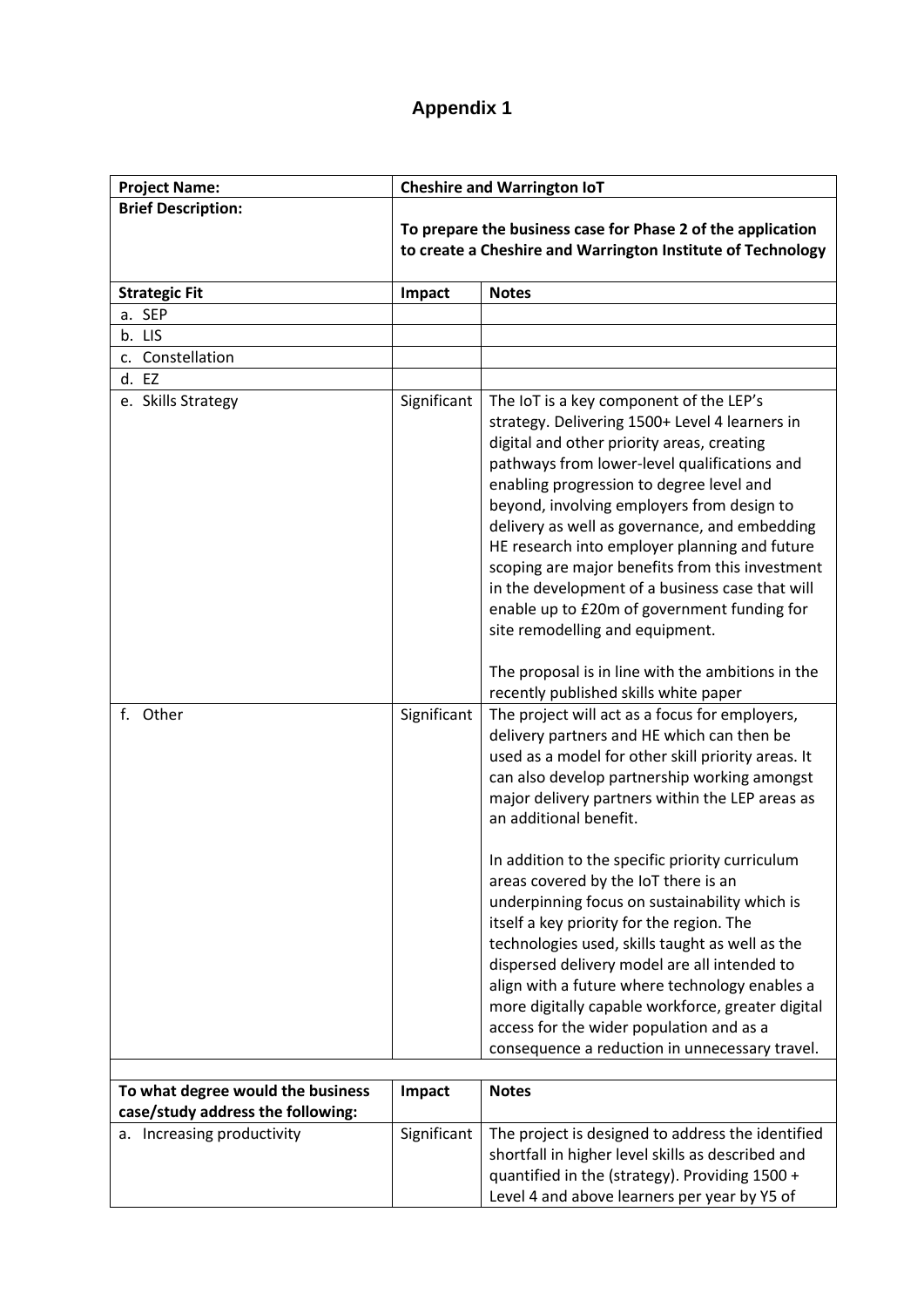# **Appendix 1**

| <b>Project Name:</b>                                                   | <b>Cheshire and Warrington IoT</b>                                                                                         |                                                                                                                                                                                                                                                                                                                                                                                                                                                                                                                                                                             |
|------------------------------------------------------------------------|----------------------------------------------------------------------------------------------------------------------------|-----------------------------------------------------------------------------------------------------------------------------------------------------------------------------------------------------------------------------------------------------------------------------------------------------------------------------------------------------------------------------------------------------------------------------------------------------------------------------------------------------------------------------------------------------------------------------|
| <b>Brief Description:</b>                                              | To prepare the business case for Phase 2 of the application<br>to create a Cheshire and Warrington Institute of Technology |                                                                                                                                                                                                                                                                                                                                                                                                                                                                                                                                                                             |
| <b>Strategic Fit</b>                                                   | Impact                                                                                                                     | <b>Notes</b>                                                                                                                                                                                                                                                                                                                                                                                                                                                                                                                                                                |
| a. SEP                                                                 |                                                                                                                            |                                                                                                                                                                                                                                                                                                                                                                                                                                                                                                                                                                             |
| b. LIS                                                                 |                                                                                                                            |                                                                                                                                                                                                                                                                                                                                                                                                                                                                                                                                                                             |
| c. Constellation                                                       |                                                                                                                            |                                                                                                                                                                                                                                                                                                                                                                                                                                                                                                                                                                             |
| d. EZ                                                                  |                                                                                                                            |                                                                                                                                                                                                                                                                                                                                                                                                                                                                                                                                                                             |
| e. Skills Strategy                                                     | Significant                                                                                                                | The IoT is a key component of the LEP's<br>strategy. Delivering 1500+ Level 4 learners in<br>digital and other priority areas, creating<br>pathways from lower-level qualifications and<br>enabling progression to degree level and<br>beyond, involving employers from design to<br>delivery as well as governance, and embedding<br>HE research into employer planning and future<br>scoping are major benefits from this investment<br>in the development of a business case that will<br>enable up to £20m of government funding for<br>site remodelling and equipment. |
|                                                                        |                                                                                                                            | The proposal is in line with the ambitions in the<br>recently published skills white paper                                                                                                                                                                                                                                                                                                                                                                                                                                                                                  |
| f. Other                                                               | Significant                                                                                                                | The project will act as a focus for employers,<br>delivery partners and HE which can then be<br>used as a model for other skill priority areas. It<br>can also develop partnership working amongst<br>major delivery partners within the LEP areas as<br>an additional benefit.                                                                                                                                                                                                                                                                                             |
|                                                                        |                                                                                                                            | In addition to the specific priority curriculum<br>areas covered by the IoT there is an<br>underpinning focus on sustainability which is<br>itself a key priority for the region. The<br>technologies used, skills taught as well as the<br>dispersed delivery model are all intended to<br>align with a future where technology enables a<br>more digitally capable workforce, greater digital<br>access for the wider population and as a<br>consequence a reduction in unnecessary travel.                                                                               |
| To what degree would the business<br>case/study address the following: | Impact                                                                                                                     | <b>Notes</b>                                                                                                                                                                                                                                                                                                                                                                                                                                                                                                                                                                |
| a. Increasing productivity                                             | Significant                                                                                                                | The project is designed to address the identified<br>shortfall in higher level skills as described and<br>quantified in the (strategy). Providing 1500 +<br>Level 4 and above learners per year by Y5 of                                                                                                                                                                                                                                                                                                                                                                    |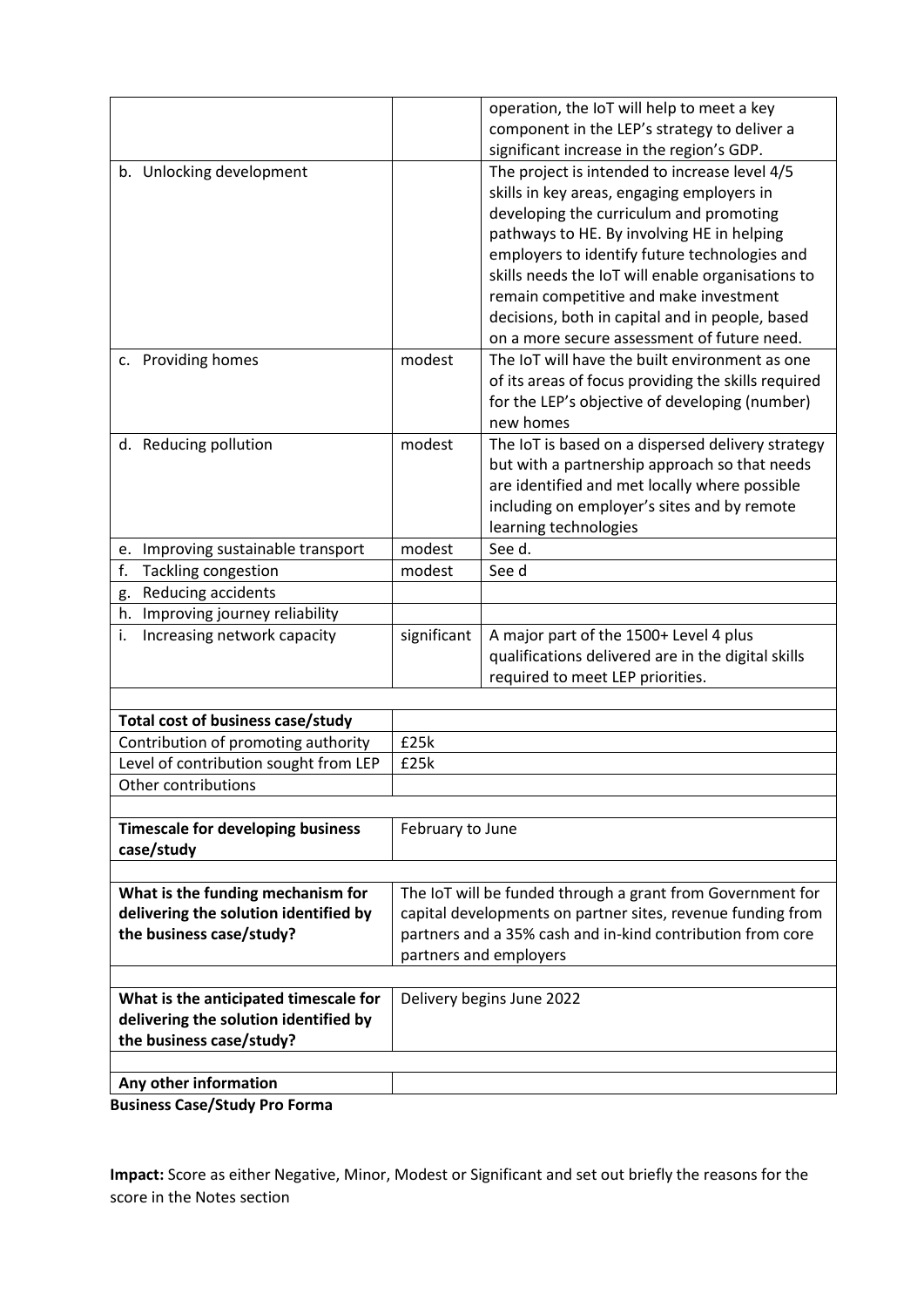|                                                              |                                                             | operation, the IoT will help to meet a key                 |  |  |  |
|--------------------------------------------------------------|-------------------------------------------------------------|------------------------------------------------------------|--|--|--|
|                                                              |                                                             | component in the LEP's strategy to deliver a               |  |  |  |
|                                                              |                                                             | significant increase in the region's GDP.                  |  |  |  |
| b. Unlocking development                                     |                                                             | The project is intended to increase level 4/5              |  |  |  |
|                                                              |                                                             | skills in key areas, engaging employers in                 |  |  |  |
|                                                              |                                                             | developing the curriculum and promoting                    |  |  |  |
|                                                              |                                                             | pathways to HE. By involving HE in helping                 |  |  |  |
|                                                              |                                                             | employers to identify future technologies and              |  |  |  |
|                                                              |                                                             | skills needs the IoT will enable organisations to          |  |  |  |
|                                                              |                                                             | remain competitive and make investment                     |  |  |  |
|                                                              |                                                             | decisions, both in capital and in people, based            |  |  |  |
|                                                              |                                                             | on a more secure assessment of future need.                |  |  |  |
| c. Providing homes                                           | modest                                                      | The IoT will have the built environment as one             |  |  |  |
|                                                              |                                                             | of its areas of focus providing the skills required        |  |  |  |
|                                                              |                                                             | for the LEP's objective of developing (number)             |  |  |  |
|                                                              |                                                             | new homes                                                  |  |  |  |
| d. Reducing pollution                                        | modest                                                      | The IoT is based on a dispersed delivery strategy          |  |  |  |
|                                                              |                                                             | but with a partnership approach so that needs              |  |  |  |
|                                                              |                                                             | are identified and met locally where possible              |  |  |  |
|                                                              |                                                             | including on employer's sites and by remote                |  |  |  |
|                                                              |                                                             | learning technologies                                      |  |  |  |
| e. Improving sustainable transport                           | modest                                                      | See d.                                                     |  |  |  |
| f.<br><b>Tackling congestion</b>                             | modest                                                      | See d                                                      |  |  |  |
| Reducing accidents<br>g.                                     |                                                             |                                                            |  |  |  |
| h. Improving journey reliability                             |                                                             |                                                            |  |  |  |
| i.<br>Increasing network capacity                            | significant                                                 | A major part of the 1500+ Level 4 plus                     |  |  |  |
|                                                              |                                                             | qualifications delivered are in the digital skills         |  |  |  |
|                                                              |                                                             | required to meet LEP priorities.                           |  |  |  |
|                                                              |                                                             |                                                            |  |  |  |
| Total cost of business case/study                            |                                                             |                                                            |  |  |  |
| Contribution of promoting authority                          | £25k                                                        |                                                            |  |  |  |
| Level of contribution sought from LEP                        | £25k                                                        |                                                            |  |  |  |
| Other contributions                                          |                                                             |                                                            |  |  |  |
| <b>Timescale for developing business</b><br>February to June |                                                             |                                                            |  |  |  |
| case/study                                                   |                                                             |                                                            |  |  |  |
|                                                              |                                                             |                                                            |  |  |  |
| What is the funding mechanism for                            | The IoT will be funded through a grant from Government for  |                                                            |  |  |  |
| delivering the solution identified by                        | capital developments on partner sites, revenue funding from |                                                            |  |  |  |
| the business case/study?                                     |                                                             | partners and a 35% cash and in-kind contribution from core |  |  |  |
| partners and employers                                       |                                                             |                                                            |  |  |  |
| What is the anticipated timescale for                        | Delivery begins June 2022                                   |                                                            |  |  |  |
| delivering the solution identified by                        |                                                             |                                                            |  |  |  |
| the business case/study?                                     |                                                             |                                                            |  |  |  |
|                                                              |                                                             |                                                            |  |  |  |
| Any other information                                        |                                                             |                                                            |  |  |  |
| <b>Rusingss Case/Study Pro Forma</b>                         |                                                             |                                                            |  |  |  |

**Business Case/Study Pro Forma**

**Impact:** Score as either Negative, Minor, Modest or Significant and set out briefly the reasons for the score in the Notes section